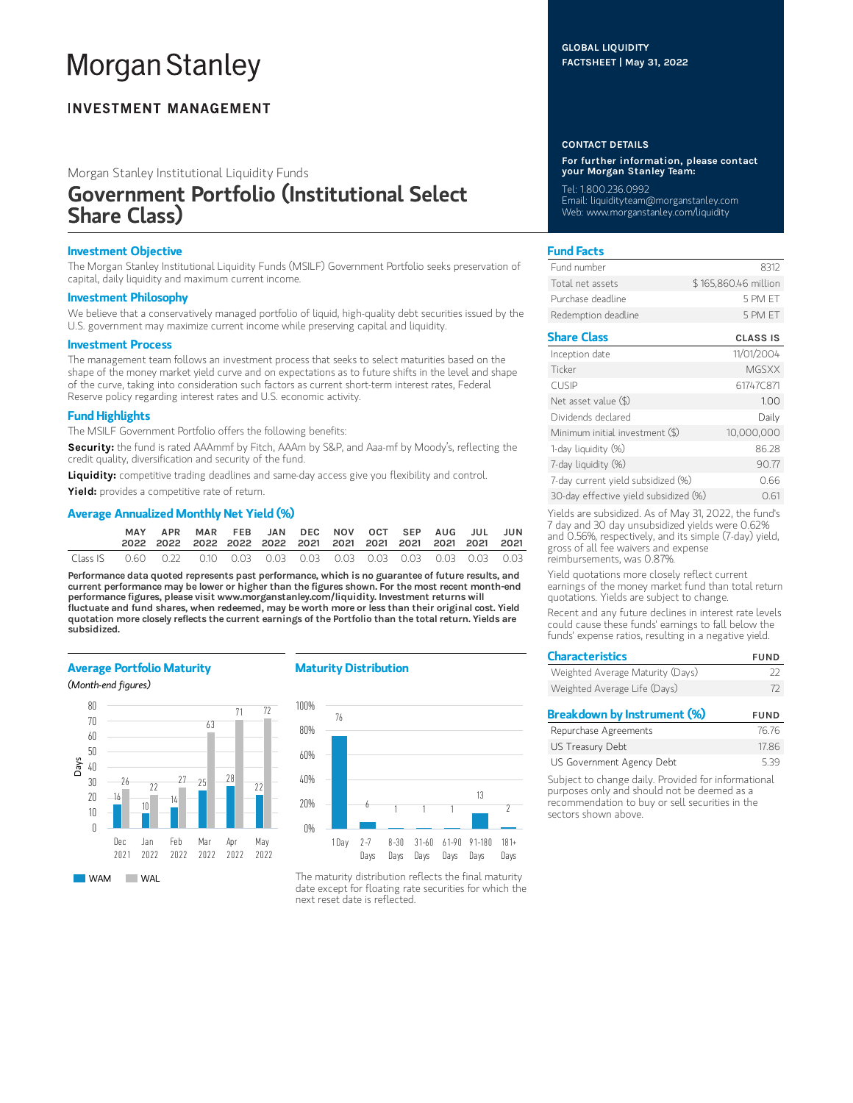# **Morgan Stanley**

# **INVESTMENT MANAGEMENT**

Morgan Stanley Institutional Liquidity Funds

# Government Portfolio (Institutional Select Share Class)

# Investment Objective

The Morgan Stanley Institutional Liquidity Funds (MSILF) Government Portfolio seeks preservation of capital, daily liquidity and maximum current income.

#### Investment Philosophy

We believe that a conservatively managed portfolio of liquid, high-quality debt securities issued by the U.S. government may maximize current income while preserving capital and liquidity.

#### Investment Process

The management team follows an investment process that seeks to select maturities based on the shape of the money market yield curve and on expectations as to future shifts in the level and shape of the curve, taking into consideration such factors as current short-term interest rates, Federal Reserve policy regarding interest rates and U.S. economic activity.

# Fund Highlights

The MSILF Government Portfolio offers the following benefits:

Security: the fund is rated AAAmmf by Fitch, AAAm by S&P, and Aaa-mf by Moody's, reflecting the credit quality, diversification and security of the fund.

Liquidity: competitive trading deadlines and same-day access give you flexibility and control.

Yield: provides a competitive rate of return.

# Average Annualized Monthly Net Yield (%)

|          | APR                                                                    |  | MAR FEB JAN DEC NOV OCT SEP AUG JUL JUN |  |  |  |  |
|----------|------------------------------------------------------------------------|--|-----------------------------------------|--|--|--|--|
| Class IS | 0.60  0.22  0.10  0.03  0.03  0.03  0.03  0.03  0.03  0.03  0.03  0.03 |  |                                         |  |  |  |  |

Performance data quoted represents past performance, which is no guarantee of future results, and current performance may be lower or higher than the figures shown. For the most recent month-end performance figures, please visit www.morganstanley.com/liquidity. Investment returns will fluctuate and fund shares, when redeemed, may be worth more or less than their original cost. Yield quotation more closely reflects the current earnings of the Portfolio than the total return. Yields are subsidized.

#### Average Portfolio Maturity

(Month-end figures)



#### Maturity Distribution



The maturity distribution reflects the final maturity date except for floating rate securities for which the next reset date is reflected.

#### GLOBAL LIQUIDITY FACTSHEET | May 31, 2022

#### CONTACT DETAILS

For further information, please contact your Morgan Stanley Team:

Tel: 1.800.236.0992 Email: liquidityteam@morganstanley.com Web: www.morganstanley.com/liquidity

# Fund Facts

| Fund number         | 8312                 |
|---------------------|----------------------|
| Total net assets    | \$165,860.46 million |
| Purchase deadline   | 5 PM FT              |
| Redemption deadline | 5 PM FT              |

# Share Class CLASS IS

| Inception date                        | 11/01/2004   |
|---------------------------------------|--------------|
| Ticker                                | <b>MGSXX</b> |
| <b>CUSIP</b>                          | 61747C871    |
| Net asset value (\$)                  | 1.00         |
| Dividends declared                    | Daily        |
| Minimum initial investment (\$)       | 10,000,000   |
| 1-day liquidity (%)                   | 86.28        |
| 7-day liquidity (%)                   | 90.77        |
| 7-day current yield subsidized (%)    | 0.66         |
| 30-day effective yield subsidized (%) | 0.61         |

Yields are subsidized. As of May 31, 2022, the fund's 7 day and 30 day unsubsidized yields were 0.62% and 0.56%, respectively, and its simple (7-day) yield, gross of all fee waivers and expense reimbursements, was 0.87%.

Yield quotations more closely reflect current earnings of the money market fund than total return quotations. Yields are subject to change.

Recent and any future declines in interest rate levels could cause these funds' earnings to fall below the funds' expense ratios, resulting in a negative yield.

| <b>Characteristics</b>           | <b>FUND</b> |
|----------------------------------|-------------|
| Weighted Average Maturity (Days) | フフ          |
| Weighted Average Life (Days)     | 72          |
| Breakdown by Instrument (%)      | <b>FUND</b> |
|                                  |             |

| Repurchase Agreements     | 76.76 |
|---------------------------|-------|
| US Treasury Debt          | 17.86 |
| US Government Agency Debt | 5.39  |

Subject to change daily. Provided for informational purposes only and should not be deemed as a recommendation to buy or sell securities in the sectors shown above.